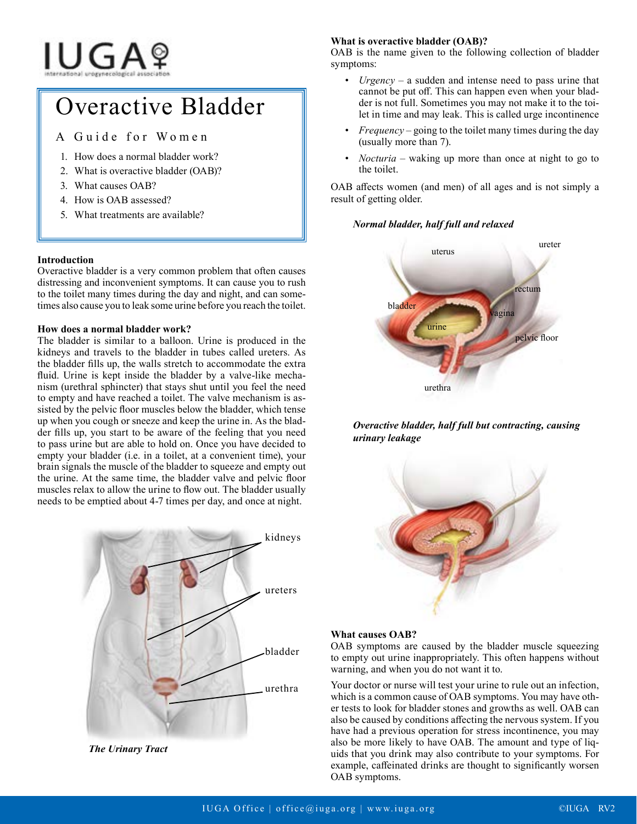# **IUGA**?

## Overactive Bladder

### A Guide for Women

- 1. How does a normal bladder work?
- 2. What is overactive bladder (OAB)?
- 3. What causes OAB?
- 4. How is OAB assessed?
- 5. What treatments are available?

#### **Introduction**

Overactive bladder is a very common problem that often causes distressing and inconvenient symptoms. It can cause you to rush to the toilet many times during the day and night, and can sometimes also cause you to leak some urine before you reach the toilet.

#### **How does a normal bladder work?**

The bladder is similar to a balloon. Urine is produced in the kidneys and travels to the bladder in tubes called ureters. As the bladder fills up, the walls stretch to accommodate the extra fluid. Urine is kept inside the bladder by a valve-like mechanism (urethral sphincter) that stays shut until you feel the need to empty and have reached a toilet. The valve mechanism is assisted by the pelvic floor muscles below the bladder, which tense up when you cough or sneeze and keep the urine in. As the bladder fills up, you start to be aware of the feeling that you need to pass urine but are able to hold on. Once you have decided to empty your bladder (i.e. in a toilet, at a convenient time), your brain signals the muscle of the bladder to squeeze and empty out the urine. At the same time, the bladder valve and pelvic floor muscles relax to allow the urine to flow out. The bladder usually needs to be emptied about 4-7 times per day, and once at night.



**What is overactive bladder (OAB)?**

OAB is the name given to the following collection of bladder symptoms:

- $U$ *rgency* a sudden and intense need to pass urine that cannot be put off. This can happen even when your bladder is not full. Sometimes you may not make it to the toilet in time and may leak. This is called urge incontinence
- *• Frequency*  going to the toilet many times during the day (usually more than 7).
- *• Nocturia*  waking up more than once at night to go to the toilet.

OAB affects women (and men) of all ages and is not simply a result of getting older.

#### *Normal bladder, half full and relaxed*



#### *Overactive bladder, half full but contracting, causing urinary leakage*



#### **What causes OAB?**

OAB symptoms are caused by the bladder muscle squeezing to empty out urine inappropriately. This often happens without warning, and when you do not want it to.

Your doctor or nurse will test your urine to rule out an infection, which is a common cause of OAB symptoms. You may have other tests to look for bladder stones and growths as well. OAB can also be caused by conditions affecting the nervous system. If you have had a previous operation for stress incontinence, you may also be more likely to have OAB. The amount and type of liquids that you drink may also contribute to your symptoms. For example, caffeinated drinks are thought to significantly worsen OAB symptoms.